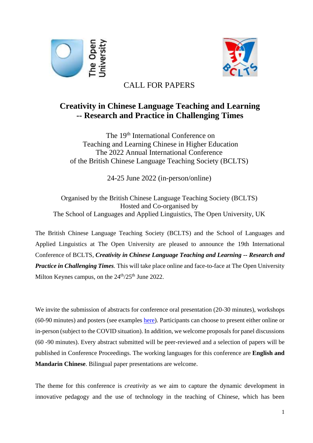



# CALL FOR PAPERS

# **Creativity in Chinese Language Teaching and Learning -- Research and Practice in Challenging Times**

The 19<sup>th</sup> International Conference on Teaching and Learning Chinese in Higher Education The 2022 Annual International Conference of the British Chinese Language Teaching Society (BCLTS)

24-25 June 2022 (in-person/online)

Organised by the British Chinese Language Teaching Society (BCLTS) Hosted and Co-organised by The School of Languages and Applied Linguistics, The Open University, UK

The British Chinese Language Teaching Society (BCLTS) and the School of Languages and Applied Linguistics at The Open University are pleased to announce the 19th International Conference of BCLTS, *Creativity in Chinese Language Teaching and Learning -- Research and Practice in Challenging Times.* This will take place online and face-to-face at The Open University Milton Keynes campus, on the  $24<sup>th</sup>/25<sup>th</sup>$  June 2022.

We invite the submission of abstracts for conference oral presentation (20-30 minutes), workshops (60-90 minutes) and posters (see examples [here\)](https://drive.google.com/file/d/1WUZqQbP5oD_WcDnUwQwFfXLTh7r58cpI/view?usp=sharing). Participants can choose to present either online or in-person (subject to the COVID situation). In addition, we welcome proposals for panel discussions (60 -90 minutes). Every abstract submitted will be peer-reviewed and a selection of papers will be published in Conference Proceedings. The working languages for this conference are **English and Mandarin Chinese**. Bilingual paper presentations are welcome.

The theme for this conference is *creativity* as we aim to capture the dynamic development in innovative pedagogy and the use of technology in the teaching of Chinese, which has been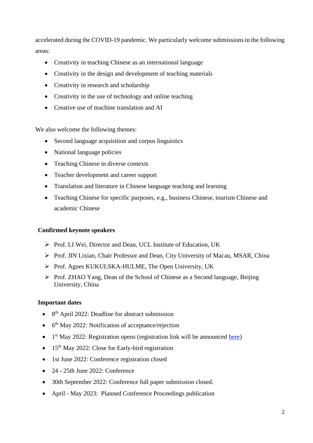accelerated during the COVID-19 pandemic. We particularly welcome submissions in the following areas:

- Creativity in teaching Chinese as an international language
- Creativity in the design and development of teaching materials
- Creativity in research and scholarship
- Creativity in the use of technology and online teaching
- Creative use of machine translation and AI

We also welcome the following themes:

- Second language acquisition and corpus linguistics
- National language policies
- Teaching Chinese in diverse contexts
- Teacher development and career support
- Translation and literature in Chinese language teaching and learning
- Teaching Chinese for specific purposes, e.g., business Chinese, tourism Chinese and academic Chinese

#### **Confirmed keynote speakers**

- ➢ Prof. LI Wei, Director and Dean, UCL Institute of Education, UK
- ➢ Prof. JIN Lixian, Chair Professor and Dean, City University of Macau, MSAR, China
- ➢ Prof. Agnes KUKULSKA-HULME, The Open University, UK
- ➢ Prof. ZHAO Yang, Dean of the School of Chinese as a Second language, Beijing University, China

#### **Important dates**

- $\bullet$  8<sup>th</sup> April 2022: Deadline for abstract submission
- 6<sup>th</sup> May 2022: Notification of acceptance/rejection
- $\bullet$  1<sup>st</sup> May 2022: Registration opens (registration link will be announced [here\)](https://bclts.org.uk/conference/)
- 15<sup>th</sup> May 2022: Close for Early-bird registration
- 1st June 2022: Conference registration closed
- 24 25th June 2022: Conference
- 30th September 2022: Conference full paper submission closed.
- April May 2023: Planned Conference Proceedings publication